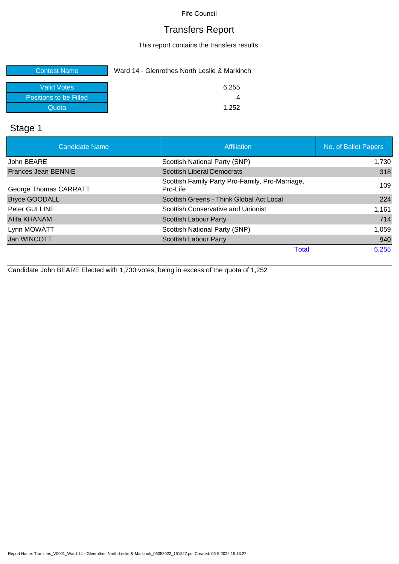## Transfers Report

This report contains the transfers results.

| <b>Contest Name</b>    | Ward 14 - Glenrothes North Leslie & Markinch |
|------------------------|----------------------------------------------|
| Valid Votes            | 6.255                                        |
| Positions to be Filled |                                              |
| Quota                  | 1.252                                        |

# Stage 1

| <b>Candidate Name</b>      | Affiliation                                                 | No. of Ballot Papers |
|----------------------------|-------------------------------------------------------------|----------------------|
| John BEARE                 | Scottish National Party (SNP)                               | 1,730                |
| <b>Frances Jean BENNIE</b> | <b>Scottish Liberal Democrats</b>                           | 318                  |
| George Thomas CARRATT      | Scottish Family Party Pro-Family, Pro-Marriage,<br>Pro-Life | 109                  |
| <b>Bryce GOODALL</b>       | Scottish Greens - Think Global Act Local                    | 224                  |
| Peter GULLINE              | Scottish Conservative and Unionist                          | 1,161                |
| Afifa KHANAM               | <b>Scottish Labour Party</b>                                | 714                  |
| Lynn MOWATT                | Scottish National Party (SNP)                               | 1,059                |
| Jan WINCOTT                | <b>Scottish Labour Party</b>                                | 940                  |
|                            | Total                                                       | 6,255                |

Candidate John BEARE Elected with 1,730 votes, being in excess of the quota of 1,252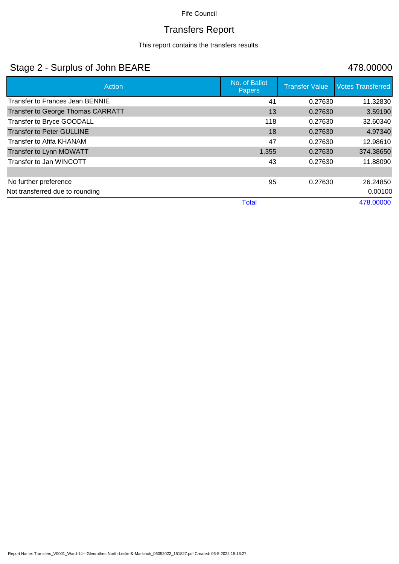# Transfers Report

This report contains the transfers results.

## Stage 2 - Surplus of John BEARE 478.00000

| Action                                   | No. of Ballot<br><b>Papers</b> | <b>Transfer Value</b> | <b>Votes Transferred</b> |
|------------------------------------------|--------------------------------|-----------------------|--------------------------|
| Transfer to Frances Jean BENNIE          | 41                             | 0.27630               | 11.32830                 |
| <b>Transfer to George Thomas CARRATT</b> | 13                             | 0.27630               | 3.59190                  |
| Transfer to Bryce GOODALL                | 118                            | 0.27630               | 32.60340                 |
| <b>Transfer to Peter GULLINE</b>         | 18                             | 0.27630               | 4.97340                  |
| Transfer to Afifa KHANAM                 | 47                             | 0.27630               | 12.98610                 |
| Transfer to Lynn MOWATT                  | 1,355                          | 0.27630               | 374.38650                |
| Transfer to Jan WINCOTT                  | 43                             | 0.27630               | 11.88090                 |
|                                          |                                |                       |                          |
| No further preference                    | 95                             | 0.27630               | 26.24850                 |
| Not transferred due to rounding          |                                |                       | 0.00100                  |
|                                          | <b>Total</b>                   |                       | 478.00000                |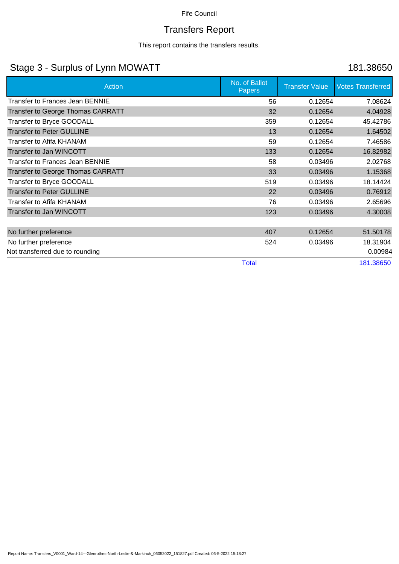# Transfers Report

This report contains the transfers results.

## Stage 3 - Surplus of Lynn MOWATT 181.38650

| <b>Action</b>                            | No. of Ballot | <b>Transfer Value</b> | <b>Votes Transferred</b> |
|------------------------------------------|---------------|-----------------------|--------------------------|
|                                          | Papers        |                       |                          |
| <b>Transfer to Frances Jean BENNIE</b>   | 56            | 0.12654               | 7.08624                  |
| <b>Transfer to George Thomas CARRATT</b> | 32            | 0.12654               | 4.04928                  |
| Transfer to Bryce GOODALL                | 359           | 0.12654               | 45.42786                 |
| <b>Transfer to Peter GULLINE</b>         | 13            | 0.12654               | 1.64502                  |
| Transfer to Afifa KHANAM                 | 59            | 0.12654               | 7.46586                  |
| Transfer to Jan WINCOTT                  | 133           | 0.12654               | 16.82982                 |
| Transfer to Frances Jean BENNIE          | 58            | 0.03496               | 2.02768                  |
| <b>Transfer to George Thomas CARRATT</b> | 33            | 0.03496               | 1.15368                  |
| Transfer to Bryce GOODALL                | 519           | 0.03496               | 18.14424                 |
| <b>Transfer to Peter GULLINE</b>         | 22            | 0.03496               | 0.76912                  |
| Transfer to Afifa KHANAM                 | 76            | 0.03496               | 2.65696                  |
| Transfer to Jan WINCOTT                  | 123           | 0.03496               | 4.30008                  |
|                                          |               |                       |                          |
| No further preference                    | 407           | 0.12654               | 51.50178                 |
| No further preference                    | 524           | 0.03496               | 18.31904                 |
| Not transferred due to rounding          |               |                       | 0.00984                  |
|                                          | <b>Total</b>  |                       | 181.38650                |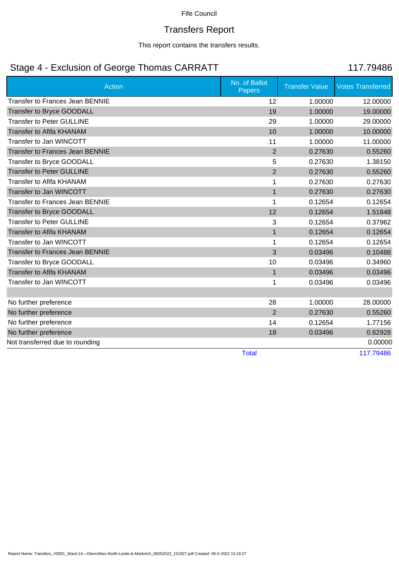# Transfers Report

This report contains the transfers results.

## Stage 4 - Exclusion of George Thomas CARRATT 117.79486

| <b>Action</b>                          | No. of Ballot<br>Papers | <b>Transfer Value</b> | <b>Votes Transferred</b> |
|----------------------------------------|-------------------------|-----------------------|--------------------------|
| <b>Transfer to Frances Jean BENNIE</b> | 12                      | 1.00000               | 12.00000                 |
| Transfer to Bryce GOODALL              | 19                      | 1.00000               | 19.00000                 |
| <b>Transfer to Peter GULLINE</b>       | 29                      | 1.00000               | 29.00000                 |
| <b>Transfer to Afifa KHANAM</b>        | 10                      | 1.00000               | 10.00000                 |
| Transfer to Jan WINCOTT                | 11                      | 1.00000               | 11.00000                 |
| <b>Transfer to Frances Jean BENNIE</b> | $\overline{2}$          | 0.27630               | 0.55260                  |
| Transfer to Bryce GOODALL              | 5                       | 0.27630               | 1.38150                  |
| <b>Transfer to Peter GULLINE</b>       | $\overline{2}$          | 0.27630               | 0.55260                  |
| <b>Transfer to Afifa KHANAM</b>        | 1                       | 0.27630               | 0.27630                  |
| Transfer to Jan WINCOTT                | $\mathbf{1}$            | 0.27630               | 0.27630                  |
| <b>Transfer to Frances Jean BENNIE</b> | 1                       | 0.12654               | 0.12654                  |
| Transfer to Bryce GOODALL              | 12                      | 0.12654               | 1.51848                  |
| <b>Transfer to Peter GULLINE</b>       | 3                       | 0.12654               | 0.37962                  |
| <b>Transfer to Afifa KHANAM</b>        | $\mathbf{1}$            | 0.12654               | 0.12654                  |
| Transfer to Jan WINCOTT                | 1                       | 0.12654               | 0.12654                  |
| <b>Transfer to Frances Jean BENNIE</b> | 3                       | 0.03496               | 0.10488                  |
| Transfer to Bryce GOODALL              | 10                      | 0.03496               | 0.34960                  |
| Transfer to Afifa KHANAM               | $\mathbf{1}$            | 0.03496               | 0.03496                  |
| <b>Transfer to Jan WINCOTT</b>         | 1                       | 0.03496               | 0.03496                  |
|                                        |                         |                       |                          |
| No further preference                  | 28                      | 1.00000               | 28.00000                 |
| No further preference                  | $\overline{2}$          | 0.27630               | 0.55260                  |
| No further preference                  | 14                      | 0.12654               | 1.77156                  |
| No further preference                  | 18                      | 0.03496               | 0.62928                  |
| Not transferred due to rounding        |                         |                       | 0.00000                  |
|                                        | <b>Total</b>            |                       | 117.79486                |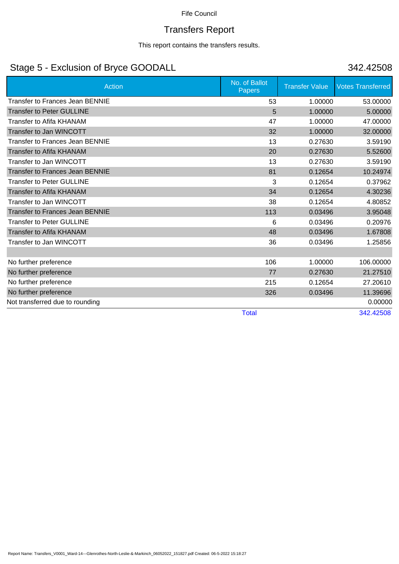### Transfers Report

This report contains the transfers results.

## Stage 5 - Exclusion of Bryce GOODALL 342.42508

| <b>Action</b>                          | No. of Ballot<br>Papers | <b>Transfer Value</b> | <b>Votes Transferred</b> |
|----------------------------------------|-------------------------|-----------------------|--------------------------|
| <b>Transfer to Frances Jean BENNIE</b> | 53                      | 1.00000               | 53.00000                 |
| <b>Transfer to Peter GULLINE</b>       | 5                       | 1.00000               | 5.00000                  |
| <b>Transfer to Afifa KHANAM</b>        | 47                      | 1.00000               | 47.00000                 |
| Transfer to Jan WINCOTT                | 32                      | 1.00000               | 32.00000                 |
| Transfer to Frances Jean BENNIE        | 13                      | 0.27630               | 3.59190                  |
| <b>Transfer to Afifa KHANAM</b>        | 20                      | 0.27630               | 5.52600                  |
| <b>Transfer to Jan WINCOTT</b>         | 13                      | 0.27630               | 3.59190                  |
| Transfer to Frances Jean BENNIE        | 81                      | 0.12654               | 10.24974                 |
| <b>Transfer to Peter GULLINE</b>       | 3                       | 0.12654               | 0.37962                  |
| <b>Transfer to Afifa KHANAM</b>        | 34                      | 0.12654               | 4.30236                  |
| Transfer to Jan WINCOTT                | 38                      | 0.12654               | 4.80852                  |
| <b>Transfer to Frances Jean BENNIE</b> | 113                     | 0.03496               | 3.95048                  |
| <b>Transfer to Peter GULLINE</b>       | 6                       | 0.03496               | 0.20976                  |
| <b>Transfer to Afifa KHANAM</b>        | 48                      | 0.03496               | 1.67808                  |
| Transfer to Jan WINCOTT                | 36                      | 0.03496               | 1.25856                  |
|                                        |                         |                       |                          |
| No further preference                  | 106                     | 1.00000               | 106.00000                |
| No further preference                  | 77                      | 0.27630               | 21.27510                 |
| No further preference                  | 215                     | 0.12654               | 27.20610                 |
| No further preference                  | 326                     | 0.03496               | 11.39696                 |
| Not transferred due to rounding        |                         |                       | 0.00000                  |
|                                        | <b>Total</b>            |                       | 342.42508                |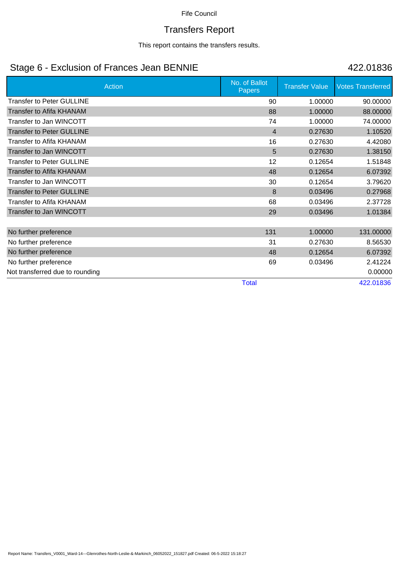# Transfers Report

This report contains the transfers results.

## Stage 6 - Exclusion of Frances Jean BENNIE 422.01836

| <b>Action</b>                    | No. of Ballot<br><b>Papers</b> | <b>Transfer Value</b> | <b>Votes Transferred</b> |
|----------------------------------|--------------------------------|-----------------------|--------------------------|
| <b>Transfer to Peter GULLINE</b> | 90                             | 1.00000               | 90.00000                 |
| <b>Transfer to Afifa KHANAM</b>  | 88                             | 1.00000               | 88.00000                 |
| Transfer to Jan WINCOTT          | 74                             | 1.00000               | 74.00000                 |
| <b>Transfer to Peter GULLINE</b> | $\overline{4}$                 | 0.27630               | 1.10520                  |
| <b>Transfer to Afifa KHANAM</b>  | 16                             | 0.27630               | 4.42080                  |
| Transfer to Jan WINCOTT          | 5                              | 0.27630               | 1.38150                  |
| <b>Transfer to Peter GULLINE</b> | 12                             | 0.12654               | 1.51848                  |
| Transfer to Afifa KHANAM         | 48                             | 0.12654               | 6.07392                  |
| Transfer to Jan WINCOTT          | 30                             | 0.12654               | 3.79620                  |
| <b>Transfer to Peter GULLINE</b> | 8                              | 0.03496               | 0.27968                  |
| <b>Transfer to Afifa KHANAM</b>  | 68                             | 0.03496               | 2.37728                  |
| Transfer to Jan WINCOTT          | 29                             | 0.03496               | 1.01384                  |
|                                  |                                |                       |                          |
| No further preference            | 131                            | 1.00000               | 131.00000                |
| No further preference            | 31                             | 0.27630               | 8.56530                  |
| No further preference            | 48                             | 0.12654               | 6.07392                  |
| No further preference            | 69                             | 0.03496               | 2.41224                  |
| Not transferred due to rounding  |                                |                       | 0.00000                  |
|                                  | <b>Total</b>                   |                       | 422.01836                |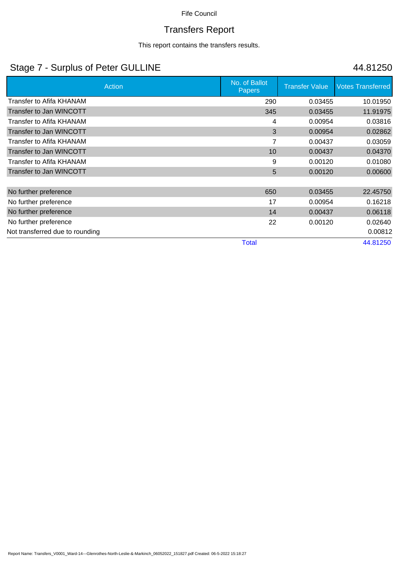# Transfers Report

This report contains the transfers results.

## Stage 7 - Surplus of Peter GULLINE 44.81250

| <b>Action</b>                   | No. of Ballot<br><b>Papers</b> | <b>Transfer Value</b> | <b>Votes Transferred</b> |
|---------------------------------|--------------------------------|-----------------------|--------------------------|
| Transfer to Afifa KHANAM        | 290                            | 0.03455               | 10.01950                 |
| Transfer to Jan WINCOTT         | 345                            | 0.03455               | 11.91975                 |
| Transfer to Afifa KHANAM        | 4                              | 0.00954               | 0.03816                  |
| Transfer to Jan WINCOTT         | 3                              | 0.00954               | 0.02862                  |
| Transfer to Afifa KHANAM        | 7                              | 0.00437               | 0.03059                  |
| Transfer to Jan WINCOTT         | 10                             | 0.00437               | 0.04370                  |
| <b>Transfer to Afifa KHANAM</b> | 9                              | 0.00120               | 0.01080                  |
| <b>Transfer to Jan WINCOTT</b>  | 5                              | 0.00120               | 0.00600                  |
|                                 |                                |                       |                          |
| No further preference           | 650                            | 0.03455               | 22.45750                 |
| No further preference           | 17                             | 0.00954               | 0.16218                  |
| No further preference           | 14                             | 0.00437               | 0.06118                  |
| No further preference           | 22                             | 0.00120               | 0.02640                  |
| Not transferred due to rounding |                                |                       | 0.00812                  |
|                                 | <b>Total</b>                   |                       | 44.81250                 |